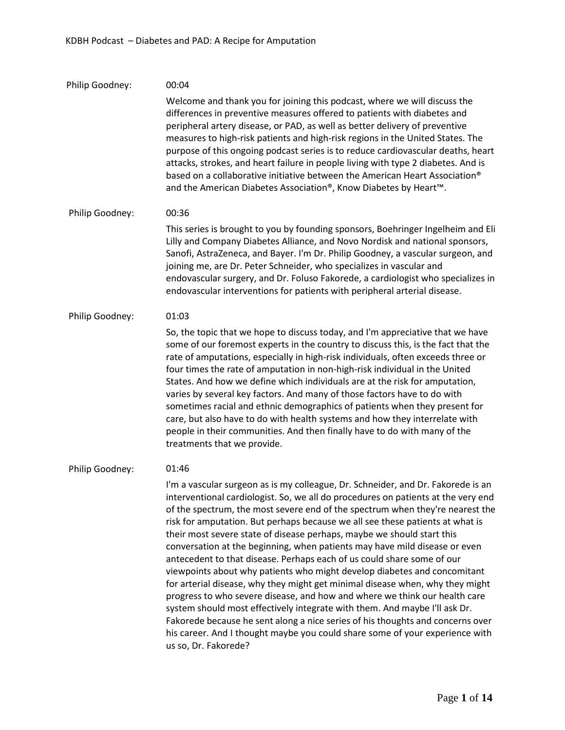# Philip Goodney: Philip Goodney: Philip Goodney: Philip Goodney: 00:04 Welcome and thank you for joining this podcast, where we will discuss the differences in preventive measures offered to patients with diabetes and peripheral artery disease, or PAD, as well as better delivery of preventive measures to high-risk patients and high-risk regions in the United States. The purpose of this ongoing podcast series is to reduce cardiovascular deaths, heart attacks, strokes, and heart failure in people living with type 2 diabetes. And is based on a collaborative initiative between the American Heart Association® and the American Diabetes Association®, Know Diabetes by Heart™. 00:36 This series is brought to you by founding sponsors, Boehringer Ingelheim and Eli Lilly and Company Diabetes Alliance, and Novo Nordisk and national sponsors, Sanofi, AstraZeneca, and Bayer. I'm Dr. Philip Goodney, a vascular surgeon, and joining me, are Dr. Peter Schneider, who specializes in vascular and endovascular surgery, and Dr. Foluso Fakorede, a cardiologist who specializes in endovascular interventions for patients with peripheral arterial disease. 01:03 So, the topic that we hope to discuss today, and I'm appreciative that we have some of our foremost experts in the country to discuss this, is the fact that the rate of amputations, especially in high-risk individuals, often exceeds three or four times the rate of amputation in non-high-risk individual in the United States. And how we define which individuals are at the risk for amputation, varies by several key factors. And many of those factors have to do with sometimes racial and ethnic demographics of patients when they present for care, but also have to do with health systems and how they interrelate with people in their communities. And then finally have to do with many of the treatments that we provide. 01:46 I'm a vascular surgeon as is my colleague, Dr. Schneider, and Dr. Fakorede is an interventional cardiologist. So, we all do procedures on patients at the very end of the spectrum, the most severe end of the spectrum when they're nearest the risk for amputation. But perhaps because we all see these patients at what is their most severe state of disease perhaps, maybe we should start this conversation at the beginning, when patients may have mild disease or even antecedent to that disease. Perhaps each of us could share some of our viewpoints about why patients who might develop diabetes and concomitant for arterial disease, why they might get minimal disease when, why they might progress to who severe disease, and how and where we think our health care system should most effectively integrate with them. And maybe I'll ask Dr. Fakorede because he sent along a nice series of his thoughts and concerns over his career. And I thought maybe you could share some of your experience with us so, Dr. Fakorede?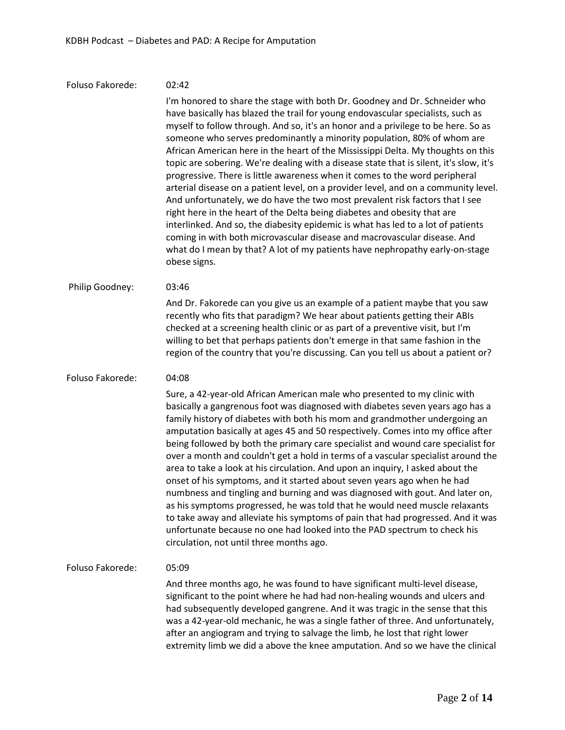| Foluso Fakorede: | 02:42                                                                                                                                                                                                                                                                                                                                                                                                                                                                                                                                                                                                                                                                                                                                                                                                                                                                                                                                                                                                                                                                                                         |
|------------------|---------------------------------------------------------------------------------------------------------------------------------------------------------------------------------------------------------------------------------------------------------------------------------------------------------------------------------------------------------------------------------------------------------------------------------------------------------------------------------------------------------------------------------------------------------------------------------------------------------------------------------------------------------------------------------------------------------------------------------------------------------------------------------------------------------------------------------------------------------------------------------------------------------------------------------------------------------------------------------------------------------------------------------------------------------------------------------------------------------------|
|                  | I'm honored to share the stage with both Dr. Goodney and Dr. Schneider who<br>have basically has blazed the trail for young endovascular specialists, such as<br>myself to follow through. And so, it's an honor and a privilege to be here. So as<br>someone who serves predominantly a minority population, 80% of whom are<br>African American here in the heart of the Mississippi Delta. My thoughts on this<br>topic are sobering. We're dealing with a disease state that is silent, it's slow, it's<br>progressive. There is little awareness when it comes to the word peripheral<br>arterial disease on a patient level, on a provider level, and on a community level.<br>And unfortunately, we do have the two most prevalent risk factors that I see<br>right here in the heart of the Delta being diabetes and obesity that are<br>interlinked. And so, the diabesity epidemic is what has led to a lot of patients<br>coming in with both microvascular disease and macrovascular disease. And<br>what do I mean by that? A lot of my patients have nephropathy early-on-stage<br>obese signs. |
| Philip Goodney:  | 03:46                                                                                                                                                                                                                                                                                                                                                                                                                                                                                                                                                                                                                                                                                                                                                                                                                                                                                                                                                                                                                                                                                                         |
|                  | And Dr. Fakorede can you give us an example of a patient maybe that you saw<br>recently who fits that paradigm? We hear about patients getting their ABIs<br>checked at a screening health clinic or as part of a preventive visit, but I'm<br>willing to bet that perhaps patients don't emerge in that same fashion in the<br>region of the country that you're discussing. Can you tell us about a patient or?                                                                                                                                                                                                                                                                                                                                                                                                                                                                                                                                                                                                                                                                                             |
| Foluso Fakorede: | 04:08                                                                                                                                                                                                                                                                                                                                                                                                                                                                                                                                                                                                                                                                                                                                                                                                                                                                                                                                                                                                                                                                                                         |
|                  | Sure, a 42-year-old African American male who presented to my clinic with<br>basically a gangrenous foot was diagnosed with diabetes seven years ago has a<br>family history of diabetes with both his mom and grandmother undergoing an<br>amputation basically at ages 45 and 50 respectively. Comes into my office after<br>being followed by both the primary care specialist and wound care specialist for<br>over a month and couldn't get a hold in terms of a vascular specialist around the<br>area to take a look at his circulation. And upon an inquiry, I asked about the<br>onset of his symptoms, and it started about seven years ago when he had<br>numbness and tingling and burning and was diagnosed with gout. And later on,<br>as his symptoms progressed, he was told that he would need muscle relaxants<br>to take away and alleviate his symptoms of pain that had progressed. And it was<br>unfortunate because no one had looked into the PAD spectrum to check his<br>circulation, not until three months ago.                                                                   |
| Foluso Fakorede: | 05:09                                                                                                                                                                                                                                                                                                                                                                                                                                                                                                                                                                                                                                                                                                                                                                                                                                                                                                                                                                                                                                                                                                         |
|                  | And three months ago, he was found to have significant multi-level disease,<br>significant to the point where he had had non-healing wounds and ulcers and<br>had subsequently developed gangrene. And it was tragic in the sense that this<br>was a 42-year-old mechanic, he was a single father of three. And unfortunately,<br>after an angiogram and trying to salvage the limb, he lost that right lower<br>extremity limb we did a above the knee amputation. And so we have the clinical                                                                                                                                                                                                                                                                                                                                                                                                                                                                                                                                                                                                               |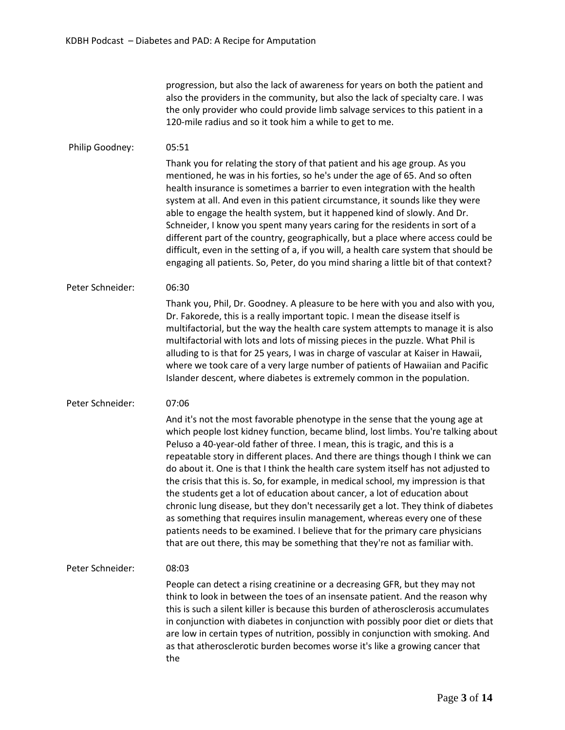progression, but also the lack of awareness for years on both the patient and also the providers in the community, but also the lack of specialty care. I was the only provider who could provide limb salvage services to this patient in a 120-mile radius and so it took him a while to get to me.

# Philip Goodney: 05:51

Thank you for relating the story of that patient and his age group. As you mentioned, he was in his forties, so he's under the age of 65. And so often health insurance is sometimes a barrier to even integration with the health system at all. And even in this patient circumstance, it sounds like they were able to engage the health system, but it happened kind of slowly. And Dr. Schneider, I know you spent many years caring for the residents in sort of a different part of the country, geographically, but a place where access could be difficult, even in the setting of a, if you will, a health care system that should be engaging all patients. So, Peter, do you mind sharing a little bit of that context?

## Peter Schneider: 06:30

Thank you, Phil, Dr. Goodney. A pleasure to be here with you and also with you, Dr. Fakorede, this is a really important topic. I mean the disease itself is multifactorial, but the way the health care system attempts to manage it is also multifactorial with lots and lots of missing pieces in the puzzle. What Phil is alluding to is that for 25 years, I was in charge of vascular at Kaiser in Hawaii, where we took care of a very large number of patients of Hawaiian and Pacific Islander descent, where diabetes is extremely common in the population.

## Peter Schneider: 07:06

And it's not the most favorable phenotype in the sense that the young age at which people lost kidney function, became blind, lost limbs. You're talking about Peluso a 40-year-old father of three. I mean, this is tragic, and this is a repeatable story in different places. And there are things though I think we can do about it. One is that I think the health care system itself has not adjusted to the crisis that this is. So, for example, in medical school, my impression is that the students get a lot of education about cancer, a lot of education about chronic lung disease, but they don't necessarily get a lot. They think of diabetes as something that requires insulin management, whereas every one of these patients needs to be examined. I believe that for the primary care physicians that are out there, this may be something that they're not as familiar with.

## Peter Schneider: 08:03

People can detect a rising creatinine or a decreasing GFR, but they may not think to look in between the toes of an insensate patient. And the reason why this is such a silent killer is because this burden of atherosclerosis accumulates in conjunction with diabetes in conjunction with possibly poor diet or diets that are low in certain types of nutrition, possibly in conjunction with smoking. And as that atherosclerotic burden becomes worse it's like a growing cancer that the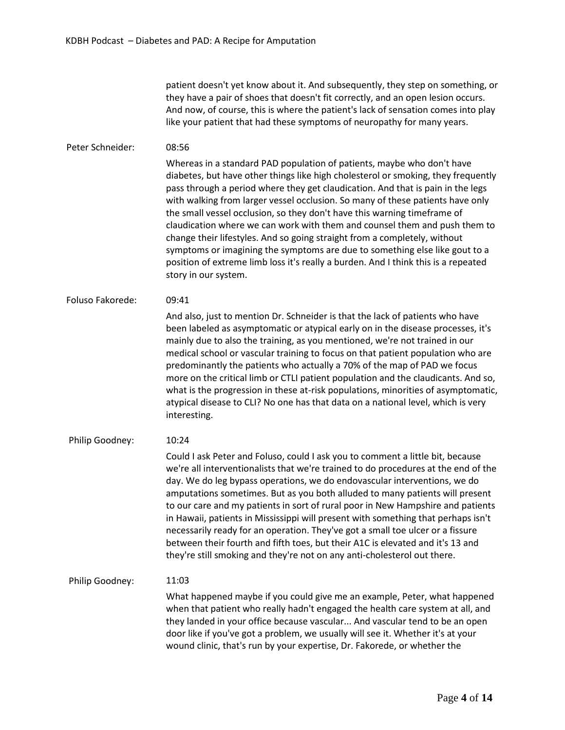patient doesn't yet know about it. And subsequently, they step on something, or they have a pair of shoes that doesn't fit correctly, and an open lesion occurs. And now, of course, this is where the patient's lack of sensation comes into play like your patient that had these symptoms of neuropathy for many years.

# Peter Schneider: 08:56

Whereas in a standard PAD population of patients, maybe who don't have diabetes, but have other things like high cholesterol or smoking, they frequently pass through a period where they get claudication. And that is pain in the legs with walking from larger vessel occlusion. So many of these patients have only the small vessel occlusion, so they don't have this warning timeframe of claudication where we can work with them and counsel them and push them to change their lifestyles. And so going straight from a completely, without symptoms or imagining the symptoms are due to something else like gout to a position of extreme limb loss it's really a burden. And I think this is a repeated story in our system.

Foluso Fakorede: 09:41

> And also, just to mention Dr. Schneider is that the lack of patients who have been labeled as asymptomatic or atypical early on in the disease processes, it's mainly due to also the training, as you mentioned, we're not trained in our medical school or vascular training to focus on that patient population who are predominantly the patients who actually a 70% of the map of PAD we focus more on the critical limb or CTLI patient population and the claudicants. And so, what is the progression in these at-risk populations, minorities of asymptomatic, atypical disease to CLI? No one has that data on a national level, which is very interesting.

Philip Goodney: 10:24

> Could I ask Peter and Foluso, could I ask you to comment a little bit, because we're all interventionalists that we're trained to do procedures at the end of the day. We do leg bypass operations, we do endovascular interventions, we do amputations sometimes. But as you both alluded to many patients will present to our care and my patients in sort of rural poor in New Hampshire and patients in Hawaii, patients in Mississippi will present with something that perhaps isn't necessarily ready for an operation. They've got a small toe ulcer or a fissure between their fourth and fifth toes, but their A1C is elevated and it's 13 and they're still smoking and they're not on any anti-cholesterol out there.

## Philip Goodney: 11:03

What happened maybe if you could give me an example, Peter, what happened when that patient who really hadn't engaged the health care system at all, and they landed in your office because vascular... And vascular tend to be an open door like if you've got a problem, we usually will see it. Whether it's at your wound clinic, that's run by your expertise, Dr. Fakorede, or whether the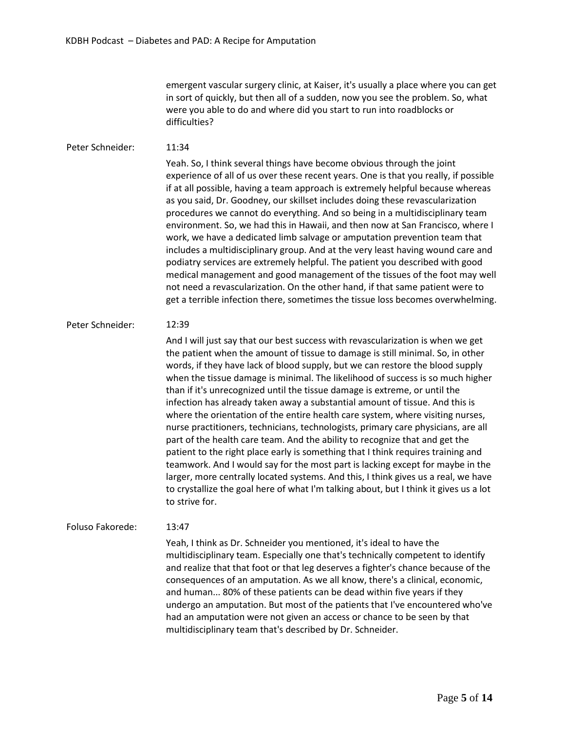emergent vascular surgery clinic, at Kaiser, it's usually a place where you can get in sort of quickly, but then all of a sudden, now you see the problem. So, what were you able to do and where did you start to run into roadblocks or difficulties?

Peter Schneider: 11:34 Yeah. So, I think several things have become obvious through the joint experience of all of us over these recent years. One is that you really, if possible if at all possible, having a team approach is extremely helpful because whereas as you said, Dr. Goodney, our skillset includes doing these revascularization procedures we cannot do everything. And so being in a multidisciplinary team environment. So, we had this in Hawaii, and then now at San Francisco, where I work, we have a dedicated limb salvage or amputation prevention team that includes a multidisciplinary group. And at the very least having wound care and podiatry services are extremely helpful. The patient you described with good medical management and good management of the tissues of the foot may well not need a revascularization. On the other hand, if that same patient were to get a terrible infection there, sometimes the tissue loss becomes overwhelming.

#### Peter Schneider: 12:39

And I will just say that our best success with revascularization is when we get the patient when the amount of tissue to damage is still minimal. So, in other words, if they have lack of blood supply, but we can restore the blood supply when the tissue damage is minimal. The likelihood of success is so much higher than if it's unrecognized until the tissue damage is extreme, or until the infection has already taken away a substantial amount of tissue. And this is where the orientation of the entire health care system, where visiting nurses, nurse practitioners, technicians, technologists, primary care physicians, are all part of the health care team. And the ability to recognize that and get the patient to the right place early is something that I think requires training and teamwork. And I would say for the most part is lacking except for maybe in the larger, more centrally located systems. And this, I think gives us a real, we have to crystallize the goal here of what I'm talking about, but I think it gives us a lot to strive for.

# Foluso Fakorede: 13:47

Yeah, I think as Dr. Schneider you mentioned, it's ideal to have the multidisciplinary team. Especially one that's technically competent to identify and realize that that foot or that leg deserves a fighter's chance because of the consequences of an amputation. As we all know, there's a clinical, economic, and human... 80% of these patients can be dead within five years if they undergo an amputation. But most of the patients that I've encountered who've had an amputation were not given an access or chance to be seen by that multidisciplinary team that's described by Dr. Schneider.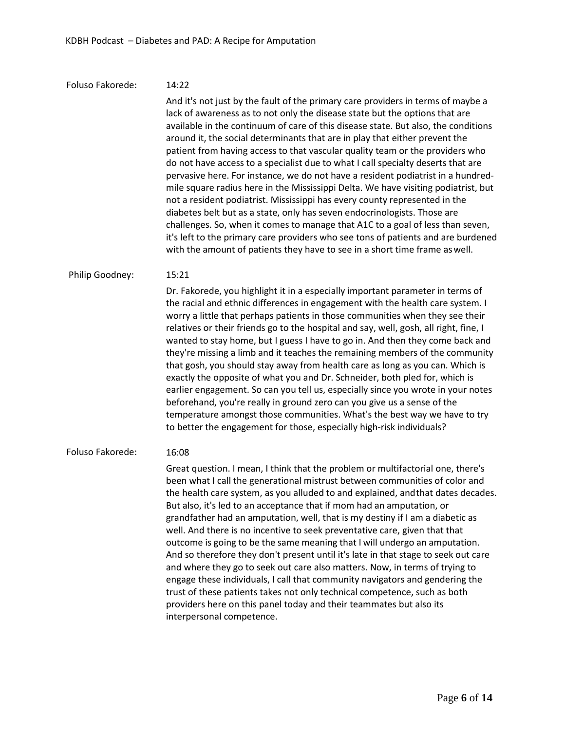#### Foluso Fakorede: 14:22

And it's not just by the fault of the primary care providers in terms of maybe a lack of awareness as to not only the disease state but the options that are available in the continuum of care of this disease state. But also, the conditions around it, the social determinants that are in play that either prevent the patient from having access to that vascular quality team or the providers who do not have access to a specialist due to what I call specialty deserts that are pervasive here. For instance, we do not have a resident podiatrist in a hundredmile square radius here in the Mississippi Delta. We have visiting podiatrist, but not a resident podiatrist. Mississippi has every county represented in the diabetes belt but as a state, only has seven endocrinologists. Those are challenges. So, when it comes to manage that A1C to a goal of less than seven, it's left to the primary care providers who see tons of patients and are burdened with the amount of patients they have to see in a short time frame aswell.

#### Philip Goodney: 15:21

Dr. Fakorede, you highlight it in a especially important parameter in terms of the racial and ethnic differences in engagement with the health care system. I worry a little that perhaps patients in those communities when they see their relatives or their friends go to the hospital and say, well, gosh, all right, fine, I wanted to stay home, but I guess I have to go in. And then they come back and they're missing a limb and it teaches the remaining members of the community that gosh, you should stay away from health care as long as you can. Which is exactly the opposite of what you and Dr. Schneider, both pled for, which is earlier engagement. So can you tell us, especially since you wrote in your notes beforehand, you're really in ground zero can you give us a sense of the temperature amongst those communities. What's the best way we have to try to better the engagement for those, especially high-risk individuals?

#### Foluso Fakorede: 16:08

Great question. I mean, I think that the problem or multifactorial one, there's been what I call the generational mistrust between communities of color and the health care system, as you alluded to and explained, andthat dates decades. But also, it's led to an acceptance that if mom had an amputation, or grandfather had an amputation, well, that is my destiny if I am a diabetic as well. And there is no incentive to seek preventative care, given that that outcome is going to be the same meaning that I will undergo an amputation. And so therefore they don't present until it's late in that stage to seek out care and where they go to seek out care also matters. Now, in terms of trying to engage these individuals, I call that community navigators and gendering the trust of these patients takes not only technical competence, such as both providers here on this panel today and their teammates but also its interpersonal competence.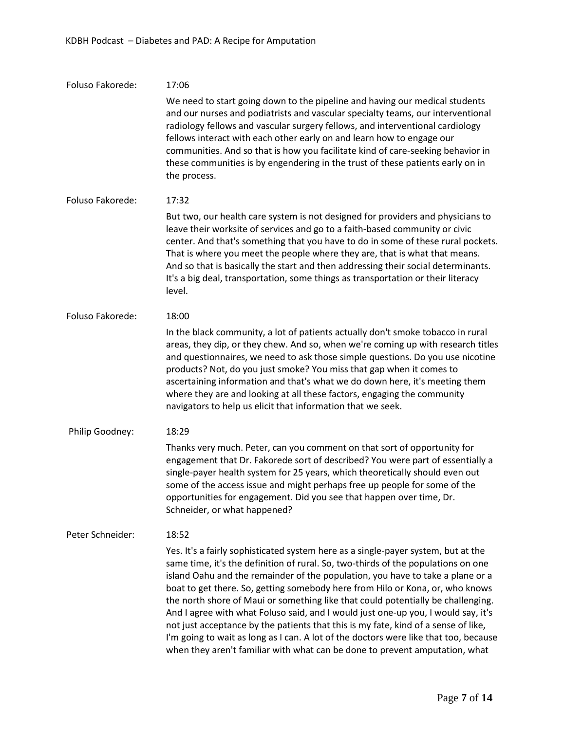| Foluso Fakorede: | 17:06                                                                                                                                                                                                                                                                                                                                                                                                                                                                                                                                                                                                                                                                                                                                                                           |
|------------------|---------------------------------------------------------------------------------------------------------------------------------------------------------------------------------------------------------------------------------------------------------------------------------------------------------------------------------------------------------------------------------------------------------------------------------------------------------------------------------------------------------------------------------------------------------------------------------------------------------------------------------------------------------------------------------------------------------------------------------------------------------------------------------|
|                  | We need to start going down to the pipeline and having our medical students<br>and our nurses and podiatrists and vascular specialty teams, our interventional<br>radiology fellows and vascular surgery fellows, and interventional cardiology<br>fellows interact with each other early on and learn how to engage our<br>communities. And so that is how you facilitate kind of care-seeking behavior in<br>these communities is by engendering in the trust of these patients early on in<br>the process.                                                                                                                                                                                                                                                                   |
| Foluso Fakorede: | 17:32                                                                                                                                                                                                                                                                                                                                                                                                                                                                                                                                                                                                                                                                                                                                                                           |
|                  | But two, our health care system is not designed for providers and physicians to<br>leave their worksite of services and go to a faith-based community or civic<br>center. And that's something that you have to do in some of these rural pockets.<br>That is where you meet the people where they are, that is what that means.<br>And so that is basically the start and then addressing their social determinants.<br>It's a big deal, transportation, some things as transportation or their literacy<br>level.                                                                                                                                                                                                                                                             |
| Foluso Fakorede: | 18:00                                                                                                                                                                                                                                                                                                                                                                                                                                                                                                                                                                                                                                                                                                                                                                           |
|                  | In the black community, a lot of patients actually don't smoke tobacco in rural<br>areas, they dip, or they chew. And so, when we're coming up with research titles<br>and questionnaires, we need to ask those simple questions. Do you use nicotine<br>products? Not, do you just smoke? You miss that gap when it comes to<br>ascertaining information and that's what we do down here, it's meeting them<br>where they are and looking at all these factors, engaging the community<br>navigators to help us elicit that information that we seek.                                                                                                                                                                                                                          |
| Philip Goodney:  | 18:29                                                                                                                                                                                                                                                                                                                                                                                                                                                                                                                                                                                                                                                                                                                                                                           |
|                  | Thanks very much. Peter, can you comment on that sort of opportunity for<br>engagement that Dr. Fakorede sort of described? You were part of essentially a<br>single-payer health system for 25 years, which theoretically should even out<br>some of the access issue and might perhaps free up people for some of the<br>opportunities for engagement. Did you see that happen over time, Dr.<br>Schneider, or what happened?                                                                                                                                                                                                                                                                                                                                                 |
| Peter Schneider: | 18:52                                                                                                                                                                                                                                                                                                                                                                                                                                                                                                                                                                                                                                                                                                                                                                           |
|                  | Yes. It's a fairly sophisticated system here as a single-payer system, but at the<br>same time, it's the definition of rural. So, two-thirds of the populations on one<br>island Oahu and the remainder of the population, you have to take a plane or a<br>boat to get there. So, getting somebody here from Hilo or Kona, or, who knows<br>the north shore of Maui or something like that could potentially be challenging.<br>And I agree with what Foluso said, and I would just one-up you, I would say, it's<br>not just acceptance by the patients that this is my fate, kind of a sense of like,<br>I'm going to wait as long as I can. A lot of the doctors were like that too, because<br>when they aren't familiar with what can be done to prevent amputation, what |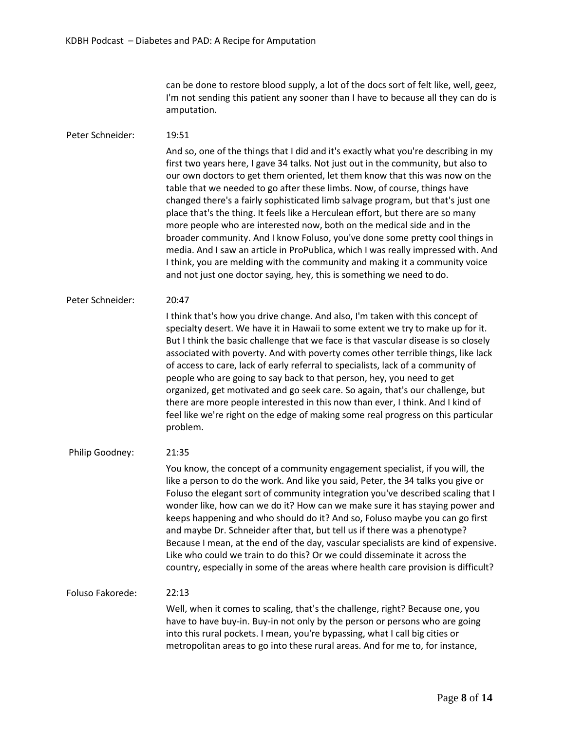can be done to restore blood supply, a lot of the docs sort of felt like, well, geez, I'm not sending this patient any sooner than I have to because all they can do is amputation.

# Peter Schneider: 19:51

And so, one of the things that I did and it's exactly what you're describing in my first two years here, I gave 34 talks. Not just out in the community, but also to our own doctors to get them oriented, let them know that this was now on the table that we needed to go after these limbs. Now, of course, things have changed there's a fairly sophisticated limb salvage program, but that's just one place that's the thing. It feels like a Herculean effort, but there are so many more people who are interested now, both on the medical side and in the broader community. And I know Foluso, you've done some pretty cool things in media. And I saw an article in ProPublica, which I was really impressed with. And I think, you are melding with the community and making it a community voice and not just one doctor saying, hey, this is something we need to do.

## Peter Schneider: 20:47

I think that's how you drive change. And also, I'm taken with this concept of specialty desert. We have it in Hawaii to some extent we try to make up for it. But I think the basic challenge that we face is that vascular disease is so closely associated with poverty. And with poverty comes other terrible things, like lack of access to care, lack of early referral to specialists, lack of a community of people who are going to say back to that person, hey, you need to get organized, get motivated and go seek care. So again, that's our challenge, but there are more people interested in this now than ever, I think. And I kind of feel like we're right on the edge of making some real progress on this particular problem.

## Philip Goodney: 21:35

You know, the concept of a community engagement specialist, if you will, the like a person to do the work. And like you said, Peter, the 34 talks you give or Foluso the elegant sort of community integration you've described scaling that I wonder like, how can we do it? How can we make sure it has staying power and keeps happening and who should do it? And so, Foluso maybe you can go first and maybe Dr. Schneider after that, but tell us if there was a phenotype? Because I mean, at the end of the day, vascular specialists are kind of expensive. Like who could we train to do this? Or we could disseminate it across the country, especially in some of the areas where health care provision is difficult?

# Foluso Fakorede: 22:13

Well, when it comes to scaling, that's the challenge, right? Because one, you have to have buy-in. Buy-in not only by the person or persons who are going into this rural pockets. I mean, you're bypassing, what I call big cities or metropolitan areas to go into these rural areas. And for me to, for instance,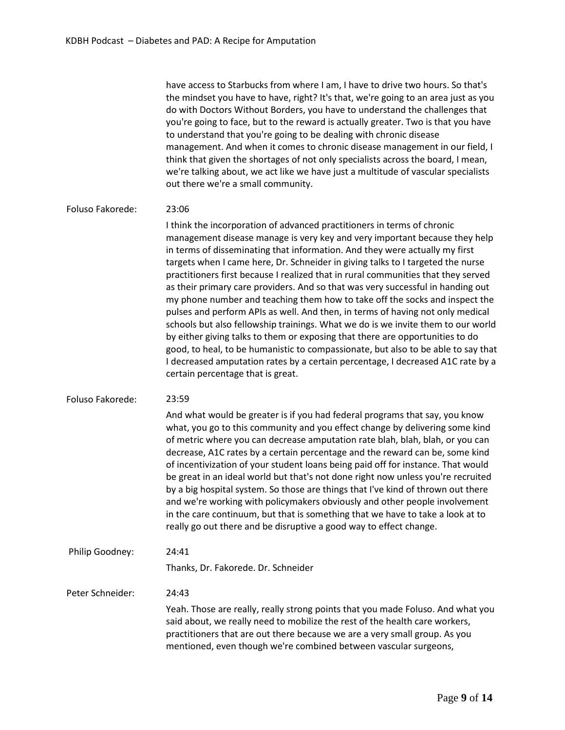have access to Starbucks from where I am, I have to drive two hours. So that's the mindset you have to have, right? It's that, we're going to an area just as you do with Doctors Without Borders, you have to understand the challenges that you're going to face, but to the reward is actually greater. Two is that you have to understand that you're going to be dealing with chronic disease management. And when it comes to chronic disease management in our field, I think that given the shortages of not only specialists across the board, I mean, we're talking about, we act like we have just a multitude of vascular specialists out there we're a small community.

## Foluso Fakorede: 23:06

I think the incorporation of advanced practitioners in terms of chronic management disease manage is very key and very important because they help in terms of disseminating that information. And they were actually my first targets when I came here, Dr. Schneider in giving talks to I targeted the nurse practitioners first because I realized that in rural communities that they served as their primary care providers. And so that was very successful in handing out my phone number and teaching them how to take off the socks and inspect the pulses and perform APIs as well. And then, in terms of having not only medical schools but also fellowship trainings. What we do is we invite them to our world by either giving talks to them or exposing that there are opportunities to do good, to heal, to be humanistic to compassionate, but also to be able to say that I decreased amputation rates by a certain percentage, I decreased A1C rate by a certain percentage that is great.

#### Foluso Fakorede: 23:59

And what would be greater is if you had federal programs that say, you know what, you go to this community and you effect change by delivering some kind of metric where you can decrease amputation rate blah, blah, blah, or you can decrease, A1C rates by a certain percentage and the reward can be, some kind of incentivization of your student loans being paid off for instance. That would be great in an ideal world but that's not done right now unless you're recruited by a big hospital system. So those are things that I've kind of thrown out there and we're working with policymakers obviously and other people involvement in the care continuum, but that is something that we have to take a look at to really go out there and be disruptive a good way to effect change.

Philip Goodney: 24:41

Thanks, Dr. Fakorede. Dr. Schneider

Peter Schneider: 24:43

> Yeah. Those are really, really strong points that you made Foluso. And what you said about, we really need to mobilize the rest of the health care workers, practitioners that are out there because we are a very small group. As you mentioned, even though we're combined between vascular surgeons,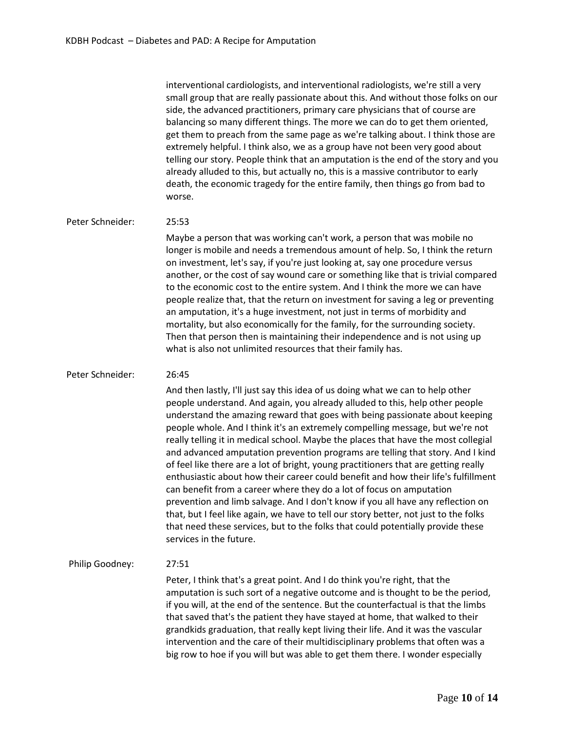interventional cardiologists, and interventional radiologists, we're still a very small group that are really passionate about this. And without those folks on our side, the advanced practitioners, primary care physicians that of course are balancing so many different things. The more we can do to get them oriented, get them to preach from the same page as we're talking about. I think those are extremely helpful. I think also, we as a group have not been very good about telling our story. People think that an amputation is the end of the story and you already alluded to this, but actually no, this is a massive contributor to early death, the economic tragedy for the entire family, then things go from bad to worse.

# Peter Schneider: 25:53

Maybe a person that was working can't work, a person that was mobile no longer is mobile and needs a tremendous amount of help. So, I think the return on investment, let's say, if you're just looking at, say one procedure versus another, or the cost of say wound care or something like that is trivial compared to the economic cost to the entire system. And I think the more we can have people realize that, that the return on investment for saving a leg or preventing an amputation, it's a huge investment, not just in terms of morbidity and mortality, but also economically for the family, for the surrounding society. Then that person then is maintaining their independence and is not using up what is also not unlimited resources that their family has.

# Peter Schneider: 26:45

And then lastly, I'll just say this idea of us doing what we can to help other people understand. And again, you already alluded to this, help other people understand the amazing reward that goes with being passionate about keeping people whole. And I think it's an extremely compelling message, but we're not really telling it in medical school. Maybe the places that have the most collegial and advanced amputation prevention programs are telling that story. And I kind of feel like there are a lot of bright, young practitioners that are getting really enthusiastic about how their career could benefit and how their life's fulfillment can benefit from a career where they do a lot of focus on amputation prevention and limb salvage. And I don't know if you all have any reflection on that, but I feel like again, we have to tell our story better, not just to the folks that need these services, but to the folks that could potentially provide these services in the future.

# Philip Goodney: 27:51

Peter, I think that's a great point. And I do think you're right, that the amputation is such sort of a negative outcome and is thought to be the period, if you will, at the end of the sentence. But the counterfactual is that the limbs that saved that's the patient they have stayed at home, that walked to their grandkids graduation, that really kept living their life. And it was the vascular intervention and the care of their multidisciplinary problems that often was a big row to hoe if you will but was able to get them there. I wonder especially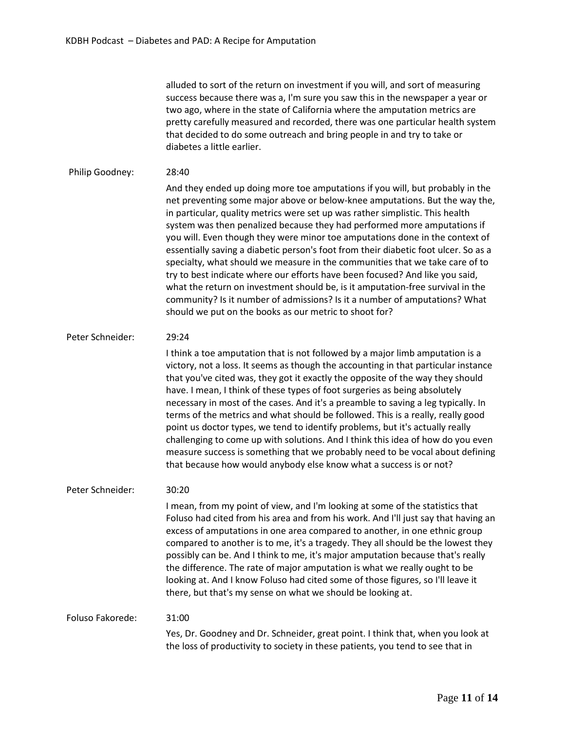alluded to sort of the return on investment if you will, and sort of measuring success because there was a, I'm sure you saw this in the newspaper a year or two ago, where in the state of California where the amputation metrics are pretty carefully measured and recorded, there was one particular health system that decided to do some outreach and bring people in and try to take or diabetes a little earlier.

# Philip Goodney: 28:40

And they ended up doing more toe amputations if you will, but probably in the net preventing some major above or below-knee amputations. But the way the, in particular, quality metrics were set up was rather simplistic. This health system was then penalized because they had performed more amputations if you will. Even though they were minor toe amputations done in the context of essentially saving a diabetic person's foot from their diabetic foot ulcer. So as a specialty, what should we measure in the communities that we take care of to try to best indicate where our efforts have been focused? And like you said, what the return on investment should be, is it amputation-free survival in the community? Is it number of admissions? Is it a number of amputations? What should we put on the books as our metric to shoot for?

# Peter Schneider: 29:24

I think a toe amputation that is not followed by a major limb amputation is a victory, not a loss. It seems as though the accounting in that particular instance that you've cited was, they got it exactly the opposite of the way they should have. I mean, I think of these types of foot surgeries as being absolutely necessary in most of the cases. And it's a preamble to saving a leg typically. In terms of the metrics and what should be followed. This is a really, really good point us doctor types, we tend to identify problems, but it's actually really challenging to come up with solutions. And I think this idea of how do you even measure success is something that we probably need to be vocal about defining that because how would anybody else know what a success is or not?

# Peter Schneider: 30:20

I mean, from my point of view, and I'm looking at some of the statistics that Foluso had cited from his area and from his work. And I'll just say that having an excess of amputations in one area compared to another, in one ethnic group compared to another is to me, it's a tragedy. They all should be the lowest they possibly can be. And I think to me, it's major amputation because that's really the difference. The rate of major amputation is what we really ought to be looking at. And I know Foluso had cited some of those figures, so I'll leave it there, but that's my sense on what we should be looking at.

# Foluso Fakorede: 31:00

Yes, Dr. Goodney and Dr. Schneider, great point. I think that, when you look at the loss of productivity to society in these patients, you tend to see that in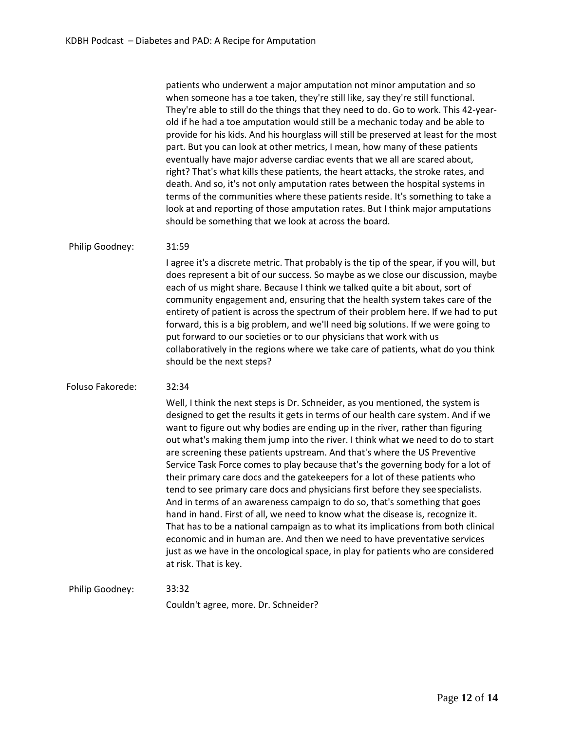patients who underwent a major amputation not minor amputation and so when someone has a toe taken, they're still like, say they're still functional. They're able to still do the things that they need to do. Go to work. This 42-yearold if he had a toe amputation would still be a mechanic today and be able to provide for his kids. And his hourglass will still be preserved at least for the most part. But you can look at other metrics, I mean, how many of these patients eventually have major adverse cardiac events that we all are scared about, right? That's what kills these patients, the heart attacks, the stroke rates, and death. And so, it's not only amputation rates between the hospital systems in terms of the communities where these patients reside. It's something to take a look at and reporting of those amputation rates. But I think major amputations should be something that we look at across the board.

#### Philip Goodney: 31:59

I agree it's a discrete metric. That probably is the tip of the spear, if you will, but does represent a bit of our success. So maybe as we close our discussion, maybe each of us might share. Because I think we talked quite a bit about, sort of community engagement and, ensuring that the health system takes care of the entirety of patient is across the spectrum of their problem here. If we had to put forward, this is a big problem, and we'll need big solutions. If we were going to put forward to our societies or to our physicians that work with us collaboratively in the regions where we take care of patients, what do you think should be the next steps?

## Foluso Fakorede: 32:34

Well, I think the next steps is Dr. Schneider, as you mentioned, the system is designed to get the results it gets in terms of our health care system. And if we want to figure out why bodies are ending up in the river, rather than figuring out what's making them jump into the river. I think what we need to do to start are screening these patients upstream. And that's where the US Preventive Service Task Force comes to play because that's the governing body for a lot of their primary care docs and the gatekeepers for a lot of these patients who tend to see primary care docs and physicians first before they seespecialists. And in terms of an awareness campaign to do so, that's something that goes hand in hand. First of all, we need to know what the disease is, recognize it. That has to be a national campaign as to what its implications from both clinical economic and in human are. And then we need to have preventative services just as we have in the oncological space, in play for patients who are considered at risk. That is key.

Philip Goodney: 33:32 Couldn't agree, more. Dr. Schneider?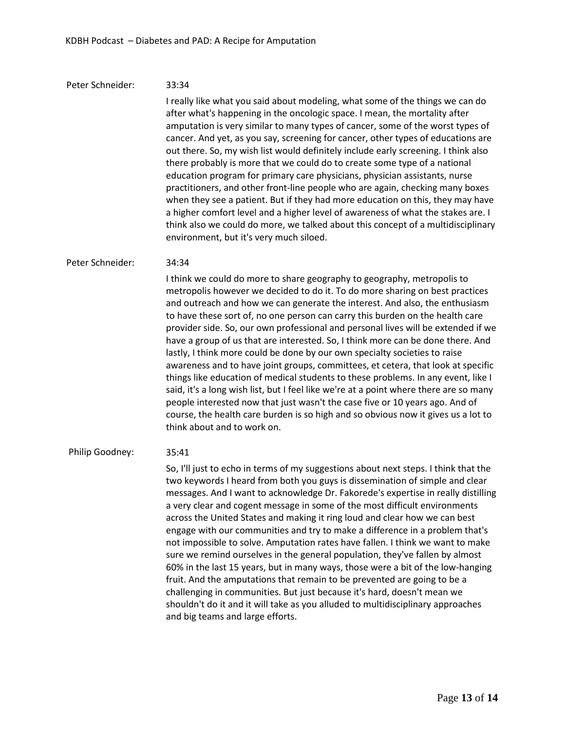### Peter Schneider: 33:34

I really like what you said about modeling, what some of the things we can do after what's happening in the oncologic space. I mean, the mortality after amputation is very similar to many types of cancer, some of the worst types of cancer. And yet, as you say, screening for cancer, other types of educations are out there. So, my wish list would definitely include early screening. I think also there probably is more that we could do to create some type of a national education program for primary care physicians, physician assistants, nurse practitioners, and other front-line people who are again, checking many boxes when they see a patient. But if they had more education on this, they may have a higher comfort level and a higher level of awareness of what the stakes are. I think also we could do more, we talked about this concept of a multidisciplinary environment, but it's very much siloed.

#### Peter Schneider: 34:34

I think we could do more to share geography to geography, metropolis to metropolis however we decided to do it. To do more sharing on best practices and outreach and how we can generate the interest. And also, the enthusiasm to have these sort of, no one person can carry this burden on the health care provider side. So, our own professional and personal lives will be extended if we have a group of us that are interested. So, I think more can be done there. And lastly, I think more could be done by our own specialty societies to raise awareness and to have joint groups, committees, et cetera, that look at specific things like education of medical students to these problems. In any event, like I said, it's a long wish list, but I feel like we're at a point where there are so many people interested now that just wasn't the case five or 10 years ago. And of course, the health care burden is so high and so obvious now it gives us a lot to think about and to work on.

#### Philip Goodney: 35:41

So, I'll just to echo in terms of my suggestions about next steps. I think that the two keywords I heard from both you guys is dissemination of simple and clear messages. And I want to acknowledge Dr. Fakorede's expertise in really distilling a very clear and cogent message in some of the most difficult environments across the United States and making it ring loud and clear how we can best engage with our communities and try to make a difference in a problem that's not impossible to solve. Amputation rates have fallen. I think we want to make sure we remind ourselves in the general population, they've fallen by almost 60% in the last 15 years, but in many ways, those were a bit of the low-hanging fruit. And the amputations that remain to be prevented are going to be a challenging in communities. But just because it's hard, doesn't mean we shouldn't do it and it will take as you alluded to multidisciplinary approaches and big teams and large efforts.